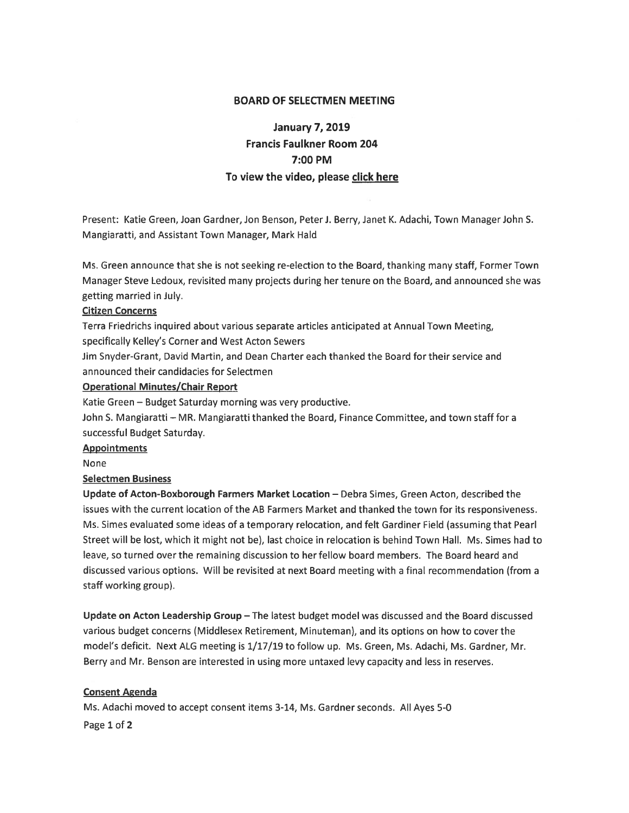#### BOARD OF SELECTMEN MEETING

# January 7, 2019 Francis Faulkner Room 204 7:00 PM To view the video, please click here

Present: Katie Green, Joan Gardner, Jon Benson, Peter J. Berry, Janet K. Adachi, Town Manager John S. Mangiaratti, and Assistant Town Manager, Mark Hald

Ms. Green announce that she is not seeking re-election to the Board, thanking many staff, Former Town Manager Steve Ledoux, revisited many projects during her tenure on the Board, and announced she was getting married in July.

#### Citizen Concerns

Terra Friedrichs inquired about various separate articles anticipated at Annual Town Meeting,

specifically Kelley's Corner and West Acton Sewers

Jim Snyder-Grant, David Martin, and Dean Charter each thanked the Board for their service and announced their candidacies for Selectmen

# Operational Minutes/Chair Report

Katie Green — Budget Saturday morning was very productive.

John S. Mangiaratti — MR. Mangiaratti thanked the Board, Finance Committee, and town staff for <sup>a</sup> successful Budget Saturday.

#### Appointments

None

# Selectmen Business

Update of Acton-Boxborough Farmers Market Location — Debra Simes, Green Acton, described the issues with the current location of the AB Farmers Market and thanked the town for its responsiveness. Ms. Simes evaluated some ideas of <sup>a</sup> temporary relocation, and felt Gardiner Field (assuming that Pearl Street will be lost, which it might not be), last choice in relocation is behind Town Hall. Ms. Simes had to leave, so turned over the remaining discussion to her fellow board members. The Board heard and discussed various options. Will be revisited at next Board meeting with <sup>a</sup> final recommendation (from <sup>a</sup> staff working group).

Update on Acton Leadership Group — The latest budget model was discussed and the Board discussed various budget concerns (Middlesex Retirement, Minuteman), and its options on how to cover the model's deficit. Next ALG meeting is 1/17/19 to follow up. Ms. Green, Ms. Adachi, Ms. Gardner, Mr. Berry and Mr. Benson are interested in using more untaxed levy capacity and less in reserves.

# **Consent Agenda**

Ms. Adachi moved to accep<sup>t</sup> consent items 3-14, Ms. Gardner seconds. All Ayes 5-0 Page 1 of 2